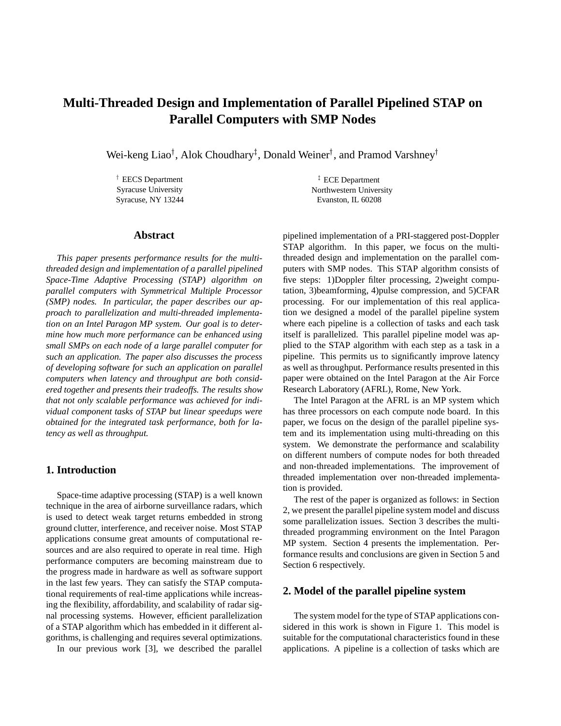# **Multi-Threaded Design and Implementation of Parallel Pipelined STAP on Parallel Computers with SMP Nodes**

Wei-keng Liao†, Alok Choudhary‡, Donald Weiner†, and Pramod Varshney†

<sup>†</sup> EECS Department Syracuse University Syracuse, NY 13244

<sup>‡</sup> ECE Department Northwestern University Evanston, IL 60208

### **Abstract**

*This paper presents performance results for the multithreaded design and implementation of a parallel pipelined Space-Time Adaptive Processing (STAP) algorithm on parallel computers with Symmetrical Multiple Processor (SMP) nodes. In particular, the paper describes our approach to parallelization and multi-threaded implementation on an Intel Paragon MP system. Our goal is to determine how much more performance can be enhanced using small SMPs on each node of a large parallel computer for such an application. The paper also discusses the process of developing software for such an application on parallel computers when latency and throughput are both considered together and presents their tradeoffs. The results show that not only scalable performance was achieved for individual component tasks of STAP but linear speedups were obtained for the integrated task performance, both for latency as well as throughput.*

# **1. Introduction**

Space-time adaptive processing (STAP) is a well known technique in the area of airborne surveillance radars, which is used to detect weak target returns embedded in strong ground clutter, interference, and receiver noise. Most STAP applications consume great amounts of computational resources and are also required to operate in real time. High performance computers are becoming mainstream due to the progress made in hardware as well as software support in the last few years. They can satisfy the STAP computational requirements of real-time applications while increasing the flexibility, affordability, and scalability of radar signal processing systems. However, efficient parallelization of a STAP algorithm which has embedded in it different algorithms, is challenging and requires several optimizations.

In our previous work [3], we described the parallel

pipelined implementation of a PRI-staggered post-Doppler STAP algorithm. In this paper, we focus on the multithreaded design and implementation on the parallel computers with SMP nodes. This STAP algorithm consists of five steps: 1)Doppler filter processing, 2)weight computation, 3)beamforming, 4)pulse compression, and 5)CFAR processing. For our implementation of this real application we designed a model of the parallel pipeline system where each pipeline is a collection of tasks and each task itself is parallelized. This parallel pipeline model was applied to the STAP algorithm with each step as a task in a pipeline. This permits us to significantly improve latency as well as throughput. Performance results presented in this paper were obtained on the Intel Paragon at the Air Force Research Laboratory (AFRL), Rome, New York.

The Intel Paragon at the AFRL is an MP system which has three processors on each compute node board. In this paper, we focus on the design of the parallel pipeline system and its implementation using multi-threading on this system. We demonstrate the performance and scalability on different numbers of compute nodes for both threaded and non-threaded implementations. The improvement of threaded implementation over non-threaded implementation is provided.

The rest of the paper is organized as follows: in Section 2, we present the parallel pipeline system model and discuss some parallelization issues. Section 3 describes the multithreaded programming environment on the Intel Paragon MP system. Section 4 presents the implementation. Performance results and conclusions are given in Section 5 and Section 6 respectively.

## **2. Model of the parallel pipeline system**

The system model for the type of STAP applications considered in this work is shown in Figure 1. This model is suitable for the computational characteristics found in these applications. A pipeline is a collection of tasks which are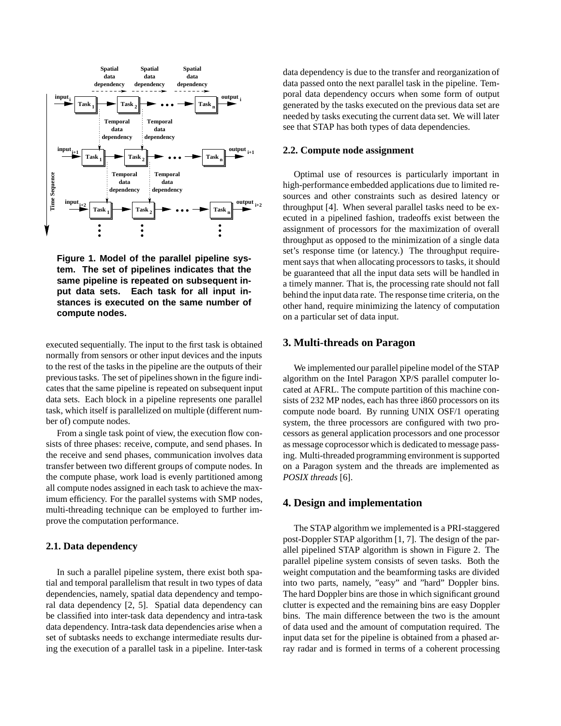

**Figure 1. Model of the parallel pipeline system. The set of pipelines indicates that the same pipeline is repeated on subsequent input data sets. Each task for all input instances is executed on the same number of compute nodes.**

executed sequentially. The input to the first task is obtained normally from sensors or other input devices and the inputs to the rest of the tasks in the pipeline are the outputs of their previous tasks. The set of pipelines shown in the figure indicates that the same pipeline is repeated on subsequent input data sets. Each block in a pipeline represents one parallel task, which itself is parallelized on multiple (different number of) compute nodes.

From a single task point of view, the execution flow consists of three phases: receive, compute, and send phases. In the receive and send phases, communication involves data transfer between two different groups of compute nodes. In the compute phase, work load is evenly partitioned among all compute nodes assigned in each task to achieve the maximum efficiency. For the parallel systems with SMP nodes, multi-threading technique can be employed to further improve the computation performance.

#### **2.1. Data dependency**

In such a parallel pipeline system, there exist both spatial and temporal parallelism that result in two types of data dependencies, namely, spatial data dependency and temporal data dependency [2, 5]. Spatial data dependency can be classified into inter-task data dependency and intra-task data dependency. Intra-task data dependencies arise when a set of subtasks needs to exchange intermediate results during the execution of a parallel task in a pipeline. Inter-task data dependency is due to the transfer and reorganization of data passed onto the next parallel task in the pipeline. Temporal data dependency occurs when some form of output generated by the tasks executed on the previous data set are needed by tasks executing the current data set. We will later see that STAP has both types of data dependencies.

## **2.2. Compute node assignment**

Optimal use of resources is particularly important in high-performance embedded applications due to limited resources and other constraints such as desired latency or throughput [4]. When several parallel tasks need to be executed in a pipelined fashion, tradeoffs exist between the assignment of processors for the maximization of overall throughput as opposed to the minimization of a single data set's response time (or latency.) The throughput requirement says that when allocating processors to tasks, it should be guaranteed that all the input data sets will be handled in a timely manner. That is, the processing rate should not fall behind the input data rate. The response time criteria, on the other hand, require minimizing the latency of computation on a particular set of data input.

# **3. Multi-threads on Paragon**

We implemented our parallel pipeline model of the STAP algorithm on the Intel Paragon XP/S parallel computer located at AFRL. The compute partition of this machine consists of 232 MP nodes, each has three i860 processors on its compute node board. By running UNIX OSF/1 operating system, the three processors are configured with two processors as general application processors and one processor as message coprocessor which is dedicated to message passing. Multi-threaded programming environment is supported on a Paragon system and the threads are implemented as *POSIX threads* [6].

# **4. Design and implementation**

The STAP algorithm we implemented is a PRI-staggered post-Doppler STAP algorithm [1, 7]. The design of the parallel pipelined STAP algorithm is shown in Figure 2. The parallel pipeline system consists of seven tasks. Both the weight computation and the beamforming tasks are divided into two parts, namely, "easy" and "hard" Doppler bins. The hard Doppler bins are those in which significant ground clutter is expected and the remaining bins are easy Doppler bins. The main difference between the two is the amount of data used and the amount of computation required. The input data set for the pipeline is obtained from a phased array radar and is formed in terms of a coherent processing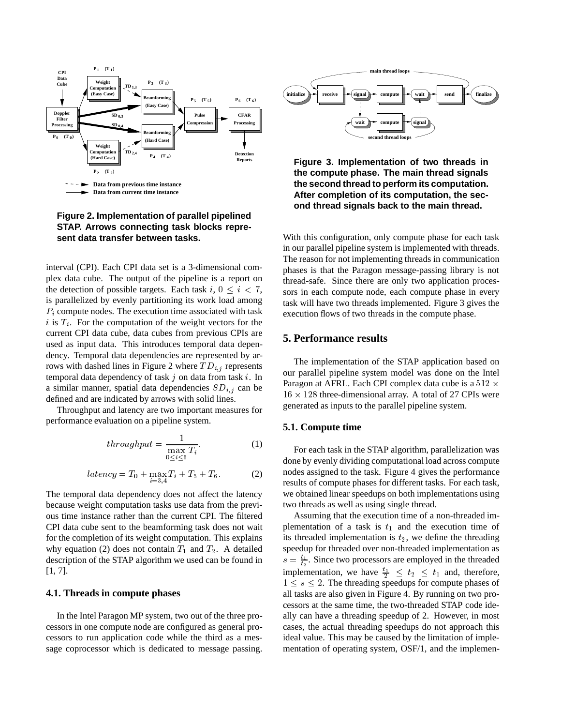

# **Figure 2. Implementation of parallel pipelined STAP. Arrows connecting task blocks represent data transfer between tasks.**

interval (CPI). Each CPI data set is a 3-dimensional complex data cube. The output of the pipeline is a report on the detection of possible targets. Each task  $i, 0 \le i \le 7$ , is parallelized by evenly partitioning its work load among  $P_i$  compute nodes. The execution time associated with task i is  $T_i$ . For the computation of the weight vectors for the current CPI data cube, data cubes from previous CPIs are used as input data. This introduces temporal data dependency. Temporal data dependencies are represented by arrows with dashed lines in Figure 2 where  $TD_{i,j}$  represents temporal data dependency of task  $j$  on data from task  $i$ . In a similar manner, spatial data dependencies  $SD_{i,j}$  can be defined and are indicated by arrows with solid lines.

Throughput and latency are two important measures for performance evaluation on a pipeline system.

$$
throughput = \frac{1}{\max_{0 \le i \le 6} T_i}.
$$
 (1)

$$
latency = T_0 + \max_{i=3,4} T_i + T_5 + T_6. \tag{2}
$$

The temporal data dependency does not affect the latency because weight computation tasks use data from the previous time instance rather than the current CPI. The filtered CPI data cube sent to the beamforming task does not wait for the completion of its weight computation. This explains why equation (2) does not contain  $T_1$  and  $T_2$ . A detailed description of the STAP algorithm we used can be found in  $[1, 7]$ .

#### **4.1. Threads in compute phases**

In the Intel Paragon MP system, two out of the three processors in one compute node are configured as general processors to run application code while the third as a message coprocessor which is dedicated to message passing.



**Figure 3. Implementation of two threads in the compute phase. The main thread signals the second thread to perform its computation. After completion of its computation, the second thread signals back to the main thread.**

With this configuration, only compute phase for each task in our parallel pipeline system is implemented with threads. The reason for not implementing threads in communication phases is that the Paragon message-passing library is not thread-safe. Since there are only two application processors in each compute node, each compute phase in every task will have two threads implemented. Figure 3 gives the execution flows of two threads in the compute phase.

## **5. Performance results**

The implementation of the STAP application based on our parallel pipeline system model was done on the Intel Paragon at AFRL. Each CPI complex data cube is a  $512 \times$  $16 \times 128$  three-dimensional array. A total of 27 CPIs were generated as inputs to the parallel pipeline system.

#### **5.1. Compute time**

For each task in the STAP algorithm, parallelization was done by evenly dividing computational load across compute nodes assigned to the task. Figure 4 gives the performance results of compute phases for different tasks. For each task, we obtained linear speedups on both implementations using two threads as well as using single thread.

Assuming that the execution time of a non-threaded implementation of a task is  $t_1$  and the execution time of its threaded implementation is  $t_2$ , we define the threading speedup for threaded over non-threaded implementation as  $s = \frac{t_1}{t_2}$ . Since two processors are employed in the threaded tanta de la construcción de la construcción de la construcción de la construcción de la construcción de la construcción de la construcción de la construcción de la construcción de la construcción de la construcción de la c implementation, we have  $\frac{t_1}{2} \leq t_2 \leq t_1$  and, therefore,  $1 \leq s \leq 2$ . The threading speedups for compute phases of all tasks are also given in Figure 4. By running on two processors at the same time, the two-threaded STAP code ideally can have a threading speedup of 2. However, in most cases, the actual threading speedups do not approach this ideal value. This may be caused by the limitation of implementation of operating system, OSF/1, and the implemen-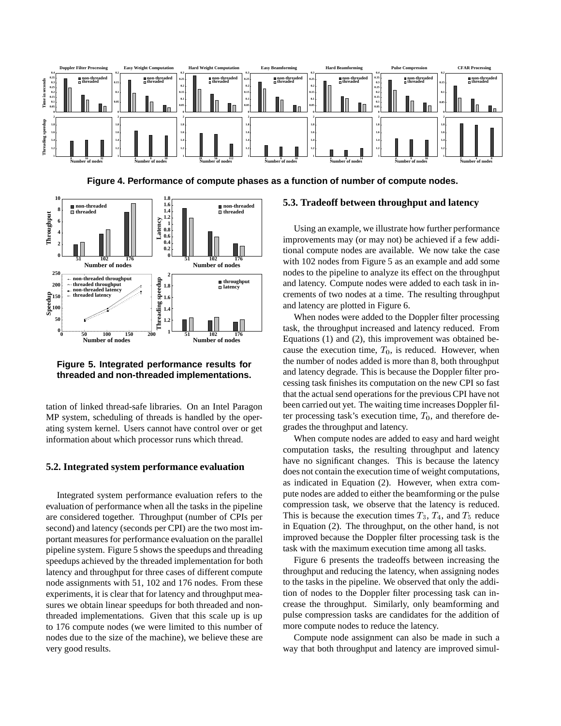

**Figure 4. Performance of compute phases as a function of number of compute nodes.**



**Figure 5. Integrated performance results for threaded and non-threaded implementations.**

tation of linked thread-safe libraries. On an Intel Paragon MP system, scheduling of threads is handled by the operating system kernel. Users cannot have control over or get information about which processor runs which thread.

#### **5.2. Integrated system performance evaluation**

Integrated system performance evaluation refers to the evaluation of performance when all the tasks in the pipeline are considered together. Throughput (number of CPIs per second) and latency (seconds per CPI) are the two most important measures for performance evaluation on the parallel pipeline system. Figure 5 shows the speedups and threading speedups achieved by the threaded implementation for both latency and throughput for three cases of different compute node assignments with 51, 102 and 176 nodes. From these experiments, it is clear that for latency and throughput measures we obtain linear speedups for both threaded and nonthreaded implementations. Given that this scale up is up to 176 compute nodes (we were limited to this number of nodes due to the size of the machine), we believe these are very good results.

#### **5.3. Tradeoff between throughput and latency**

Using an example, we illustrate how further performance improvements may (or may not) be achieved if a few additional compute nodes are available. We now take the case with 102 nodes from Figure 5 as an example and add some nodes to the pipeline to analyze its effect on the throughput and latency. Compute nodes were added to each task in increments of two nodes at a time. The resulting throughput and latency are plotted in Figure 6.

When nodes were added to the Doppler filter processing task, the throughput increased and latency reduced. From Equations (1) and (2), this improvement was obtained because the execution time,  $T_0$ , is reduced. However, when the number of nodes added is more than 8, both throughput and latency degrade. This is because the Doppler filter processing task finishes its computation on the new CPI so fast that the actual send operations for the previous CPI have not been carried out yet. The waiting time increases Doppler filter processing task's execution time,  $T_0$ , and therefore degrades the throughput and latency.

When compute nodes are added to easy and hard weight computation tasks, the resulting throughput and latency have no significant changes. This is because the latency does not contain the execution time of weight computations, as indicated in Equation (2). However, when extra compute nodes are added to either the beamforming or the pulse compression task, we observe that the latency is reduced. This is because the execution times  $T_3$ ,  $T_4$ , and  $T_5$  reduce in Equation (2). The throughput, on the other hand, is not improved because the Doppler filter processing task is the task with the maximum execution time among all tasks.

Figure 6 presents the tradeoffs between increasing the throughput and reducing the latency, when assigning nodes to the tasks in the pipeline. We observed that only the addition of nodes to the Doppler filter processing task can increase the throughput. Similarly, only beamforming and pulse compression tasks are candidates for the addition of more compute nodes to reduce the latency.

Compute node assignment can also be made in such a way that both throughput and latency are improved simul-